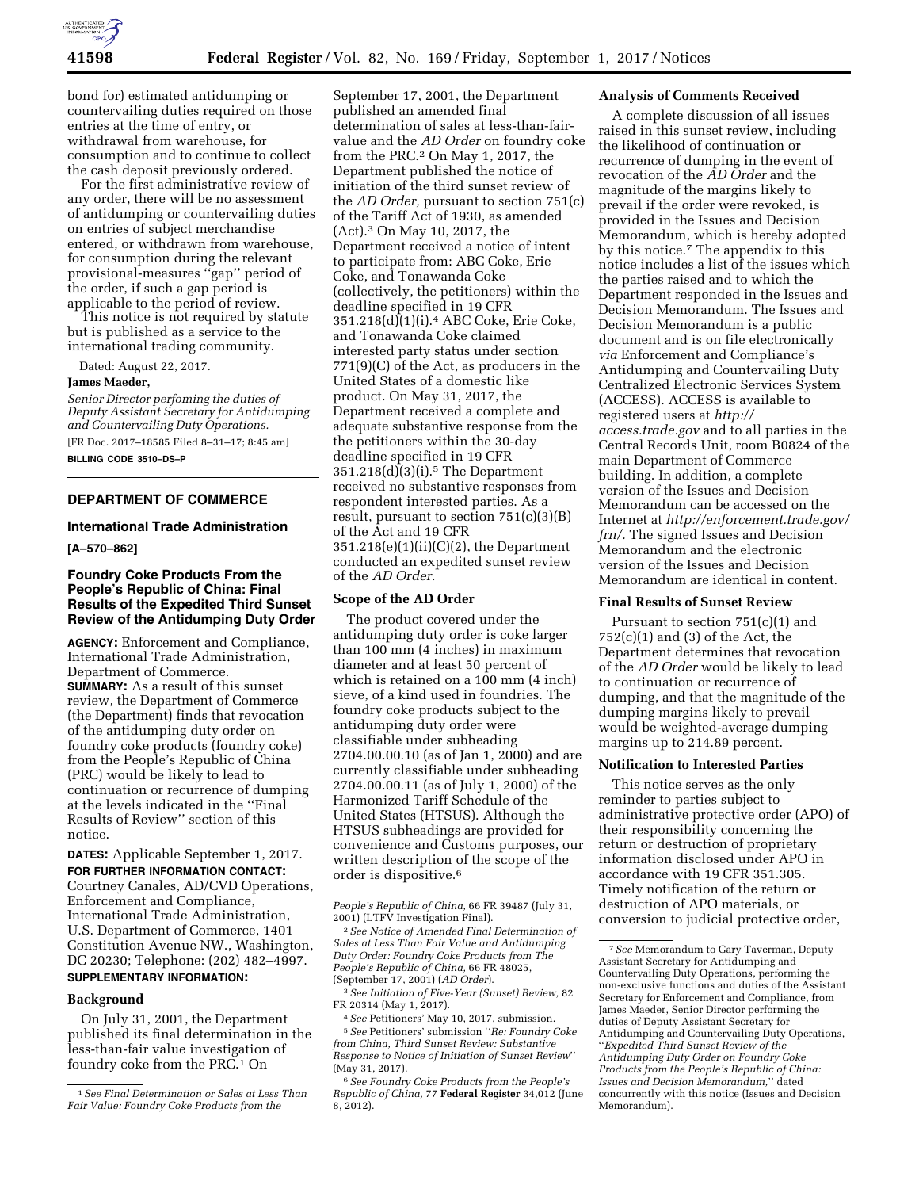

bond for) estimated antidumping or countervailing duties required on those entries at the time of entry, or withdrawal from warehouse, for consumption and to continue to collect the cash deposit previously ordered.

For the first administrative review of any order, there will be no assessment of antidumping or countervailing duties on entries of subject merchandise entered, or withdrawn from warehouse, for consumption during the relevant provisional-measures ''gap'' period of the order, if such a gap period is applicable to the period of review.

This notice is not required by statute but is published as a service to the international trading community.

Dated: August 22, 2017.

#### **James Maeder,**

*Senior Director perfoming the duties of Deputy Assistant Secretary for Antidumping and Countervailing Duty Operations.* 

[FR Doc. 2017–18585 Filed 8–31–17; 8:45 am] **BILLING CODE 3510–DS–P** 

# **DEPARTMENT OF COMMERCE**

### **International Trade Administration**

**[A–570–862]** 

# **Foundry Coke Products From the People's Republic of China: Final Results of the Expedited Third Sunset Review of the Antidumping Duty Order**

**AGENCY:** Enforcement and Compliance, International Trade Administration, Department of Commerce. **SUMMARY:** As a result of this sunset review, the Department of Commerce (the Department) finds that revocation of the antidumping duty order on foundry coke products (foundry coke) from the People's Republic of China (PRC) would be likely to lead to continuation or recurrence of dumping at the levels indicated in the ''Final Results of Review'' section of this notice.

**DATES:** Applicable September 1, 2017. **FOR FURTHER INFORMATION CONTACT:**  Courtney Canales, AD/CVD Operations, Enforcement and Compliance, International Trade Administration, U.S. Department of Commerce, 1401 Constitution Avenue NW., Washington, DC 20230; Telephone: (202) 482–4997. **SUPPLEMENTARY INFORMATION:** 

#### **Background**

On July 31, 2001, the Department published its final determination in the less-than-fair value investigation of foundry coke from the PRC.<sup>1</sup> On

September 17, 2001, the Department published an amended final determination of sales at less-than-fairvalue and the *AD Order* on foundry coke from the PRC.2 On May 1, 2017, the Department published the notice of initiation of the third sunset review of the *AD Order,* pursuant to section 751(c) of the Tariff Act of 1930, as amended (Act).3 On May 10, 2017, the Department received a notice of intent to participate from: ABC Coke, Erie Coke, and Tonawanda Coke (collectively, the petitioners) within the deadline specified in 19 CFR 351.218(d)(1)(i).4 ABC Coke, Erie Coke, and Tonawanda Coke claimed interested party status under section 771(9)(C) of the Act, as producers in the United States of a domestic like product. On May 31, 2017, the Department received a complete and adequate substantive response from the the petitioners within the 30-day deadline specified in 19 CFR  $351.218(d)(3)(i).$ <sup>5</sup> The Department received no substantive responses from respondent interested parties. As a result, pursuant to section  $751(c)(3)(B)$ of the Act and 19 CFR 351.218(e)(1)(ii)(C)(2), the Department conducted an expedited sunset review of the *AD Order.* 

## **Scope of the AD Order**

The product covered under the antidumping duty order is coke larger than 100 mm (4 inches) in maximum diameter and at least 50 percent of which is retained on a 100 mm (4 inch) sieve, of a kind used in foundries. The foundry coke products subject to the antidumping duty order were classifiable under subheading 2704.00.00.10 (as of Jan 1, 2000) and are currently classifiable under subheading 2704.00.00.11 (as of July 1, 2000) of the Harmonized Tariff Schedule of the United States (HTSUS). Although the HTSUS subheadings are provided for convenience and Customs purposes, our written description of the scope of the order is dispositive.6

*from China, Third Sunset Review: Substantive Response to Notice of Initiation of Sunset Review*'' (May 31, 2017).

6*See Foundry Coke Products from the People's Republic of China,* 77 **Federal Register** 34,012 (June 8, 2012).

## **Analysis of Comments Received**

A complete discussion of all issues raised in this sunset review, including the likelihood of continuation or recurrence of dumping in the event of revocation of the *AD Order* and the magnitude of the margins likely to prevail if the order were revoked, is provided in the Issues and Decision Memorandum, which is hereby adopted by this notice.7 The appendix to this notice includes a list of the issues which the parties raised and to which the Department responded in the Issues and Decision Memorandum. The Issues and Decision Memorandum is a public document and is on file electronically *via* Enforcement and Compliance's Antidumping and Countervailing Duty Centralized Electronic Services System (ACCESS). ACCESS is available to registered users at *[http://](http://access.trade.gov) [access.trade.gov](http://access.trade.gov)* and to all parties in the Central Records Unit, room B0824 of the main Department of Commerce building. In addition, a complete version of the Issues and Decision Memorandum can be accessed on the Internet at *[http://enforcement.trade.gov/](http://enforcement.trade.gov/frn/) frn*/. The signed Issues and Decision Memorandum and the electronic version of the Issues and Decision Memorandum are identical in content.

# **Final Results of Sunset Review**

Pursuant to section 751(c)(1) and  $752(c)(1)$  and  $(3)$  of the Act, the Department determines that revocation of the *AD Order* would be likely to lead to continuation or recurrence of dumping, and that the magnitude of the dumping margins likely to prevail would be weighted-average dumping margins up to 214.89 percent.

# **Notification to Interested Parties**

This notice serves as the only reminder to parties subject to administrative protective order (APO) of their responsibility concerning the return or destruction of proprietary information disclosed under APO in accordance with 19 CFR 351.305. Timely notification of the return or destruction of APO materials, or conversion to judicial protective order,

<sup>1</sup>*See Final Determination or Sales at Less Than Fair Value: Foundry Coke Products from the* 

*People's Republic of China,* 66 FR 39487 (July 31, 2001) (LTFV Investigation Final).

<sup>2</sup>*See Notice of Amended Final Determination of Sales at Less Than Fair Value and Antidumping Duty Order: Foundry Coke Products from The People's Republic of China,* 66 FR 48025, (September 17, 2001) (*AD Order*).

<sup>3</sup>*See Initiation of Five-Year (Sunset) Review,* 82 FR 20314 (May 1, 2017).

<sup>4</sup>*See* Petitioners' May 10, 2017, submission. 5*See* Petitioners' submission ''*Re: Foundry Coke* 

<sup>7</sup>*See* Memorandum to Gary Taverman, Deputy Assistant Secretary for Antidumping and Countervailing Duty Operations, performing the non-exclusive functions and duties of the Assistant Secretary for Enforcement and Compliance, from James Maeder, Senior Director performing the duties of Deputy Assistant Secretary for Antidumping and Countervailing Duty Operations, ''*Expedited Third Sunset Review of the Antidumping Duty Order on Foundry Coke Products from the People's Republic of China: Issues and Decision Memorandum,*'' dated concurrently with this notice (Issues and Decision Memorandum).